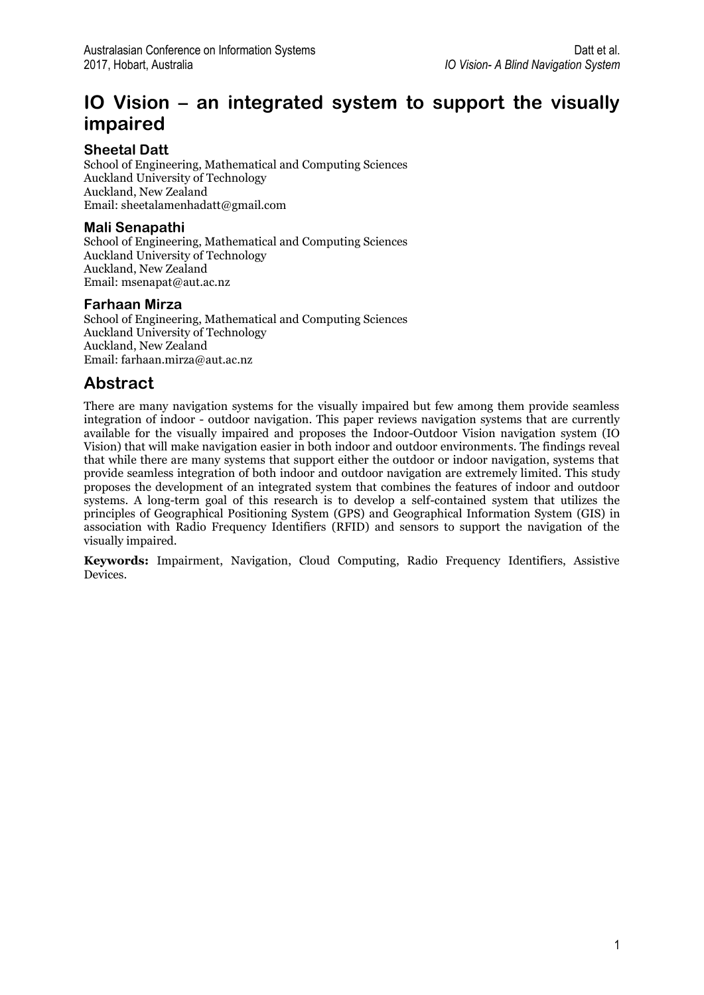# **IO Vision – an integrated system to support the visually impaired**

### **Sheetal Datt**

School of Engineering, Mathematical and Computing Sciences Auckland University of Technology Auckland, New Zealand Email[: sheetalamenhadatt@gmail.com](mailto:sheetalamenhadatt@gmail.com)

#### **Mali Senapathi**

School of Engineering, Mathematical and Computing Sciences Auckland University of Technology Auckland, New Zealand Email[: msenapat@aut.ac.nz](mailto:msenapat@aut.ac.nz)

### **Farhaan Mirza**

School of Engineering, Mathematical and Computing Sciences Auckland University of Technology Auckland, New Zealand Email[: farhaan.mirza@aut.ac.nz](mailto:farhaan.mirza@aut.ac.nz)

## **Abstract**

There are many navigation systems for the visually impaired but few among them provide seamless integration of indoor - outdoor navigation. This paper reviews navigation systems that are currently available for the visually impaired and proposes the Indoor-Outdoor Vision navigation system (IO Vision) that will make navigation easier in both indoor and outdoor environments. The findings reveal that while there are many systems that support either the outdoor or indoor navigation, systems that provide seamless integration of both indoor and outdoor navigation are extremely limited. This study proposes the development of an integrated system that combines the features of indoor and outdoor systems. A long-term goal of this research is to develop a self-contained system that utilizes the principles of Geographical Positioning System (GPS) and Geographical Information System (GIS) in association with Radio Frequency Identifiers (RFID) and sensors to support the navigation of the visually impaired.

**Keywords:** Impairment, Navigation, Cloud Computing, Radio Frequency Identifiers, Assistive Devices.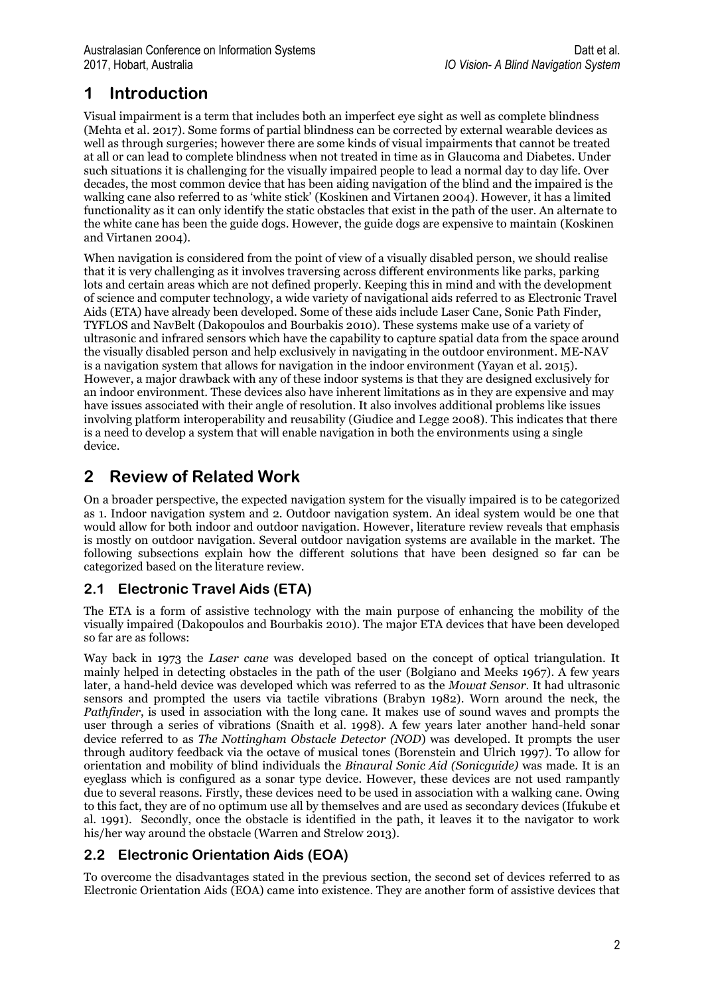# **1 Introduction**

Visual impairment is a term that includes both an imperfect eye sight as well as complete blindness (Mehta et al. 2017). Some forms of partial blindness can be corrected by external wearable devices as well as through surgeries; however there are some kinds of visual impairments that cannot be treated at all or can lead to complete blindness when not treated in time as in Glaucoma and Diabetes. Under such situations it is challenging for the visually impaired people to lead a normal day to day life. Over decades, the most common device that has been aiding navigation of the blind and the impaired is the walking cane also referred to as 'white stick' (Koskinen and Virtanen 2004). However, it has a limited functionality as it can only identify the static obstacles that exist in the path of the user. An alternate to the white cane has been the guide dogs. However, the guide dogs are expensive to maintain (Koskinen and Virtanen 2004).

When navigation is considered from the point of view of a visually disabled person, we should realise that it is very challenging as it involves traversing across different environments like parks, parking lots and certain areas which are not defined properly. Keeping this in mind and with the development of science and computer technology, a wide variety of navigational aids referred to as Electronic Travel Aids (ETA) have already been developed. Some of these aids include Laser Cane, Sonic Path Finder, TYFLOS and NavBelt (Dakopoulos and Bourbakis 2010). These systems make use of a variety of ultrasonic and infrared sensors which have the capability to capture spatial data from the space around the visually disabled person and help exclusively in navigating in the outdoor environment. ME-NAV is a navigation system that allows for navigation in the indoor environment (Yayan et al. 2015). However, a major drawback with any of these indoor systems is that they are designed exclusively for an indoor environment. These devices also have inherent limitations as in they are expensive and may have issues associated with their angle of resolution. It also involves additional problems like issues involving platform interoperability and reusability (Giudice and Legge 2008). This indicates that there is a need to develop a system that will enable navigation in both the environments using a single device.

## **2 Review of Related Work**

On a broader perspective, the expected navigation system for the visually impaired is to be categorized as 1. Indoor navigation system and 2. Outdoor navigation system. An ideal system would be one that would allow for both indoor and outdoor navigation. However, literature review reveals that emphasis is mostly on outdoor navigation. Several outdoor navigation systems are available in the market. The following subsections explain how the different solutions that have been designed so far can be categorized based on the literature review.

## **2.1 Electronic Travel Aids (ETA)**

The ETA is a form of assistive technology with the main purpose of enhancing the mobility of the visually impaired (Dakopoulos and Bourbakis 2010). The major ETA devices that have been developed so far are as follows:

Way back in 1973 the *Laser cane* was developed based on the concept of optical triangulation. It mainly helped in detecting obstacles in the path of the user (Bolgiano and Meeks 1967). A few years later, a hand-held device was developed which was referred to as the *Mowat Sensor*. It had ultrasonic sensors and prompted the users via tactile vibrations (Brabyn 1982). Worn around the neck, the *Pathfinder*, is used in association with the long cane. It makes use of sound waves and prompts the user through a series of vibrations (Snaith et al. 1998). A few years later another hand-held sonar device referred to as *The Nottingham Obstacle Detector (NOD*) was developed. It prompts the user through auditory feedback via the octave of musical tones (Borenstein and Ulrich 1997). To allow for orientation and mobility of blind individuals the *Binaural Sonic Aid (Sonicguide)* was made. It is an eyeglass which is configured as a sonar type device. However, these devices are not used rampantly due to several reasons. Firstly, these devices need to be used in association with a walking cane. Owing to this fact, they are of no optimum use all by themselves and are used as secondary devices (Ifukube et al. 1991). Secondly, once the obstacle is identified in the path, it leaves it to the navigator to work his/her way around the obstacle (Warren and Strelow 2013).

## **2.2 Electronic Orientation Aids (EOA)**

To overcome the disadvantages stated in the previous section, the second set of devices referred to as Electronic Orientation Aids (EOA) came into existence. They are another form of assistive devices that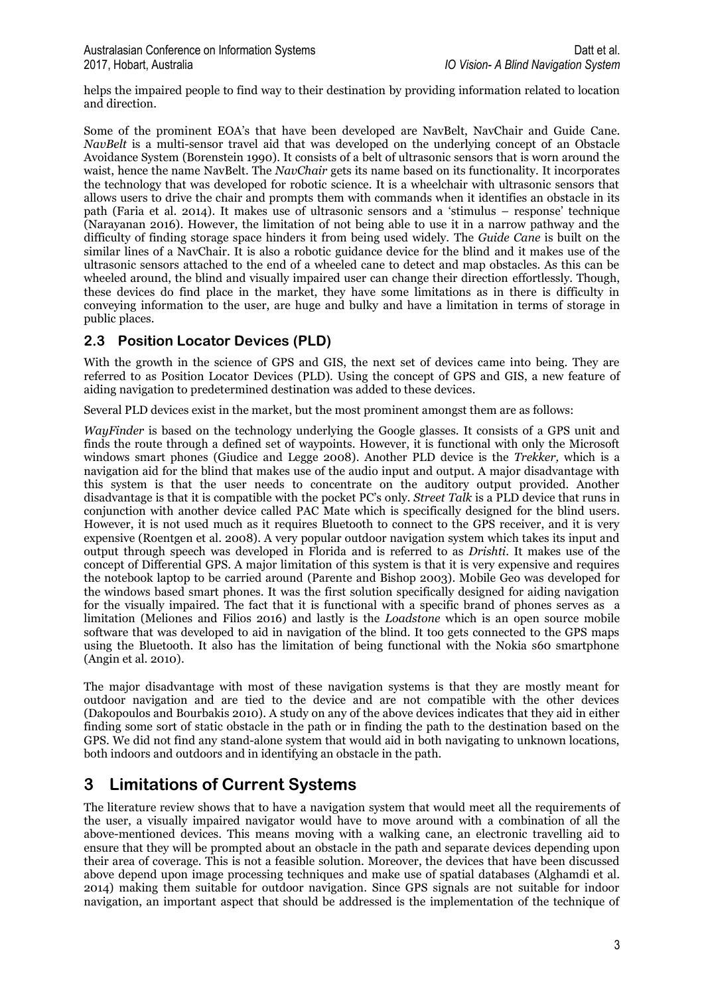helps the impaired people to find way to their destination by providing information related to location and direction.

Some of the prominent EOA's that have been developed are NavBelt, NavChair and Guide Cane. *NavBelt* is a multi-sensor travel aid that was developed on the underlying concept of an Obstacle Avoidance System (Borenstein 1990). It consists of a belt of ultrasonic sensors that is worn around the waist, hence the name NavBelt. The *NavChair* gets its name based on its functionality. It incorporates the technology that was developed for robotic science. It is a wheelchair with ultrasonic sensors that allows users to drive the chair and prompts them with commands when it identifies an obstacle in its path (Faria et al. 2014). It makes use of ultrasonic sensors and a 'stimulus – response' technique (Narayanan 2016). However, the limitation of not being able to use it in a narrow pathway and the difficulty of finding storage space hinders it from being used widely. The *Guide Cane* is built on the similar lines of a NavChair. It is also a robotic guidance device for the blind and it makes use of the ultrasonic sensors attached to the end of a wheeled cane to detect and map obstacles. As this can be wheeled around, the blind and visually impaired user can change their direction effortlessly. Though, these devices do find place in the market, they have some limitations as in there is difficulty in conveying information to the user, are huge and bulky and have a limitation in terms of storage in public places.

### **2.3 Position Locator Devices (PLD)**

With the growth in the science of GPS and GIS, the next set of devices came into being. They are referred to as Position Locator Devices (PLD). Using the concept of GPS and GIS, a new feature of aiding navigation to predetermined destination was added to these devices.

Several PLD devices exist in the market, but the most prominent amongst them are as follows:

*WayFinder* is based on the technology underlying the Google glasses. It consists of a GPS unit and finds the route through a defined set of waypoints. However, it is functional with only the Microsoft windows smart phones (Giudice and Legge 2008). Another PLD device is the *Trekker,* which is a navigation aid for the blind that makes use of the audio input and output. A major disadvantage with this system is that the user needs to concentrate on the auditory output provided. Another disadvantage is that it is compatible with the pocket PC's only*. Street Talk* is a PLD device that runs in conjunction with another device called PAC Mate which is specifically designed for the blind users. However, it is not used much as it requires Bluetooth to connect to the GPS receiver, and it is very expensive (Roentgen et al. 2008). A very popular outdoor navigation system which takes its input and output through speech was developed in Florida and is referred to as *Drishti*. It makes use of the concept of Differential GPS. A major limitation of this system is that it is very expensive and requires the notebook laptop to be carried around (Parente and Bishop 2003). Mobile Geo was developed for the windows based smart phones. It was the first solution specifically designed for aiding navigation for the visually impaired. The fact that it is functional with a specific brand of phones serves as a limitation (Meliones and Filios 2016) and lastly is the *Loadstone* which is an open source mobile software that was developed to aid in navigation of the blind. It too gets connected to the GPS maps using the Bluetooth. It also has the limitation of being functional with the Nokia s60 smartphone (Angin et al. 2010).

The major disadvantage with most of these navigation systems is that they are mostly meant for outdoor navigation and are tied to the device and are not compatible with the other devices (Dakopoulos and Bourbakis 2010). A study on any of the above devices indicates that they aid in either finding some sort of static obstacle in the path or in finding the path to the destination based on the GPS. We did not find any stand-alone system that would aid in both navigating to unknown locations, both indoors and outdoors and in identifying an obstacle in the path.

## **3 Limitations of Current Systems**

The literature review shows that to have a navigation system that would meet all the requirements of the user, a visually impaired navigator would have to move around with a combination of all the above-mentioned devices. This means moving with a walking cane, an electronic travelling aid to ensure that they will be prompted about an obstacle in the path and separate devices depending upon their area of coverage. This is not a feasible solution. Moreover, the devices that have been discussed above depend upon image processing techniques and make use of spatial databases (Alghamdi et al. 2014) making them suitable for outdoor navigation. Since GPS signals are not suitable for indoor navigation, an important aspect that should be addressed is the implementation of the technique of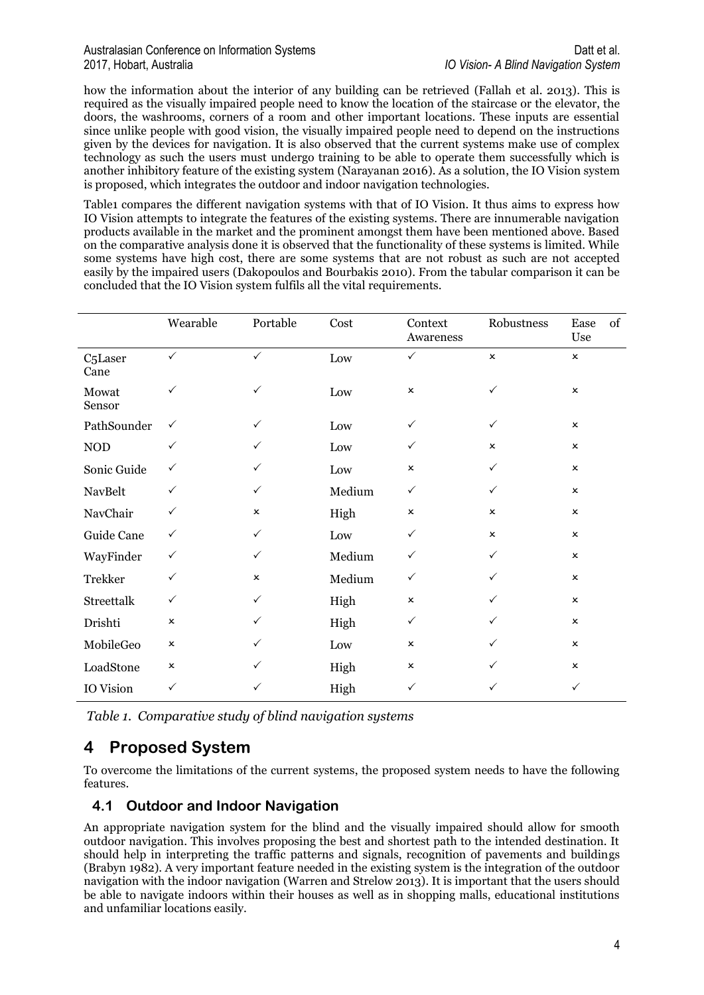#### Australasian Conference on Information Systems **Datt et al.** Datt et al. 2017, Hobart, Australia *IO Vision- A Blind Navigation System*

how the information about the interior of any building can be retrieved (Fallah et al. 2013). This is required as the visually impaired people need to know the location of the staircase or the elevator, the doors, the washrooms, corners of a room and other important locations. These inputs are essential since unlike people with good vision, the visually impaired people need to depend on the instructions given by the devices for navigation. It is also observed that the current systems make use of complex technology as such the users must undergo training to be able to operate them successfully which is another inhibitory feature of the existing system (Narayanan 2016). As a solution, the IO Vision system is proposed, which integrates the outdoor and indoor navigation technologies.

Table1 compares the different navigation systems with that of IO Vision. It thus aims to express how IO Vision attempts to integrate the features of the existing systems. There are innumerable navigation products available in the market and the prominent amongst them have been mentioned above. Based on the comparative analysis done it is observed that the functionality of these systems is limited. While some systems have high cost, there are some systems that are not robust as such are not accepted easily by the impaired users (Dakopoulos and Bourbakis 2010). From the tabular comparison it can be concluded that the IO Vision system fulfils all the vital requirements.

|                              | Wearable       | Portable       | Cost            | Context<br>Awareness | Robustness     | of<br>Ease<br>Use |
|------------------------------|----------------|----------------|-----------------|----------------------|----------------|-------------------|
| C <sub>5</sub> Laser<br>Cane | $\checkmark$   | $\checkmark$   | Low             | $\checkmark$         | $\pmb{\times}$ | $\pmb{\times}$    |
| Mowat<br>Sensor              | $\checkmark$   | ✓              | Low             | $\pmb{\times}$       | $\checkmark$   | $\pmb{\times}$    |
| PathSounder                  | $\checkmark$   | $\checkmark$   | Low             | $\checkmark$         | $\checkmark$   | $\pmb{\times}$    |
| $\rm NOD$                    | $\checkmark$   | ✓              | Low             | $\checkmark$         | $\pmb{\times}$ | $\pmb{\times}$    |
| Sonic Guide                  | $\checkmark$   | $\checkmark$   | Low             | $\pmb{\times}$       | $\checkmark$   | $\pmb{\times}$    |
| NavBelt                      | $\checkmark$   | $\checkmark$   | Medium          | $\checkmark$         | $\checkmark$   | $\mathbf{x}$      |
| NavChair                     | $\checkmark$   | x              | High            | $\pmb{\times}$       | $\pmb{\times}$ | $\pmb{\times}$    |
| Guide Cane                   | $\checkmark$   | $\checkmark$   | $_{\text{Low}}$ | $\checkmark$         | $\pmb{\times}$ | $\pmb{\times}$    |
| WayFinder                    | $\checkmark$   | $\checkmark$   | Medium          | $\checkmark$         | $\checkmark$   | $\pmb{\times}$    |
| <b>Trekker</b>               | $\checkmark$   | $\pmb{\times}$ | Medium          | $\checkmark$         | ✓              | $\pmb{\times}$    |
| Streettalk                   | $\checkmark$   | $\checkmark$   | High            | $\pmb{\times}$       | ✓              | $\pmb{\times}$    |
| Drishti                      | $\pmb{\times}$ | ✓              | High            | ✓                    | ✓              | $\pmb{\times}$    |
| MobileGeo                    | $\pmb{\times}$ | ✓              | Low             | $\pmb{\times}$       | $\checkmark$   | $\pmb{\times}$    |
| LoadStone                    | $\pmb{\times}$ | ✓              | High            | $\pmb{\times}$       | ✓              | $\pmb{\times}$    |
| IO Vision                    | $\checkmark$   | ✓              | High            | $\checkmark$         | ✓              | $\checkmark$      |

*Table 1. Comparative study of blind navigation systems* 

## **4 Proposed System**

To overcome the limitations of the current systems, the proposed system needs to have the following features.

### **4.1 Outdoor and Indoor Navigation**

An appropriate navigation system for the blind and the visually impaired should allow for smooth outdoor navigation. This involves proposing the best and shortest path to the intended destination. It should help in interpreting the traffic patterns and signals, recognition of pavements and buildings (Brabyn 1982). A very important feature needed in the existing system is the integration of the outdoor navigation with the indoor navigation (Warren and Strelow 2013). It is important that the users should be able to navigate indoors within their houses as well as in shopping malls, educational institutions and unfamiliar locations easily.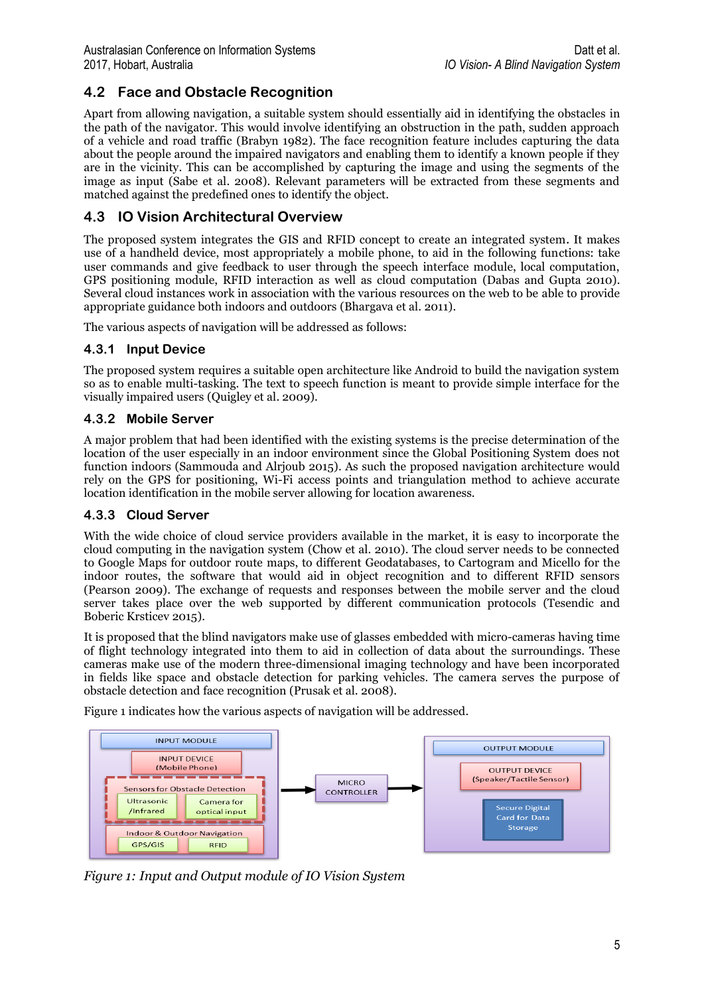## **4.2 Face and Obstacle Recognition**

Apart from allowing navigation, a suitable system should essentially aid in identifying the obstacles in the path of the navigator. This would involve identifying an obstruction in the path, sudden approach of a vehicle and road traffic (Brabyn 1982). The face recognition feature includes capturing the data about the people around the impaired navigators and enabling them to identify a known people if they are in the vicinity. This can be accomplished by capturing the image and using the segments of the image as input (Sabe et al. 2008). Relevant parameters will be extracted from these segments and matched against the predefined ones to identify the object.

### **4.3 IO Vision Architectural Overview**

The proposed system integrates the GIS and RFID concept to create an integrated system. It makes use of a handheld device, most appropriately a mobile phone, to aid in the following functions: take user commands and give feedback to user through the speech interface module, local computation, GPS positioning module, RFID interaction as well as cloud computation (Dabas and Gupta 2010). Several cloud instances work in association with the various resources on the web to be able to provide appropriate guidance both indoors and outdoors (Bhargava et al. 2011).

The various aspects of navigation will be addressed as follows:

### **4.3.1 Input Device**

The proposed system requires a suitable open architecture like Android to build the navigation system so as to enable multi-tasking. The text to speech function is meant to provide simple interface for the visually impaired users (Quigley et al. 2009).

### **4.3.2 Mobile Server**

A major problem that had been identified with the existing systems is the precise determination of the location of the user especially in an indoor environment since the Global Positioning System does not function indoors (Sammouda and Alrjoub 2015). As such the proposed navigation architecture would rely on the GPS for positioning, Wi-Fi access points and triangulation method to achieve accurate location identification in the mobile server allowing for location awareness.

#### **4.3.3 Cloud Server**

With the wide choice of cloud service providers available in the market, it is easy to incorporate the cloud computing in the navigation system (Chow et al. 2010). The cloud server needs to be connected to Google Maps for outdoor route maps, to different Geodatabases, to Cartogram and Micello for the indoor routes, the software that would aid in object recognition and to different RFID sensors (Pearson 2009). The exchange of requests and responses between the mobile server and the cloud server takes place over the web supported by different communication protocols (Tesendic and Boberic Krsticev 2015).

It is proposed that the blind navigators make use of glasses embedded with micro-cameras having time of flight technology integrated into them to aid in collection of data about the surroundings. These cameras make use of the modern three-dimensional imaging technology and have been incorporated in fields like space and obstacle detection for parking vehicles. The camera serves the purpose of obstacle detection and face recognition (Prusak et al. 2008).

Figure 1 indicates how the various aspects of navigation will be addressed.



*Figure 1: Input and Output module of IO Vision System*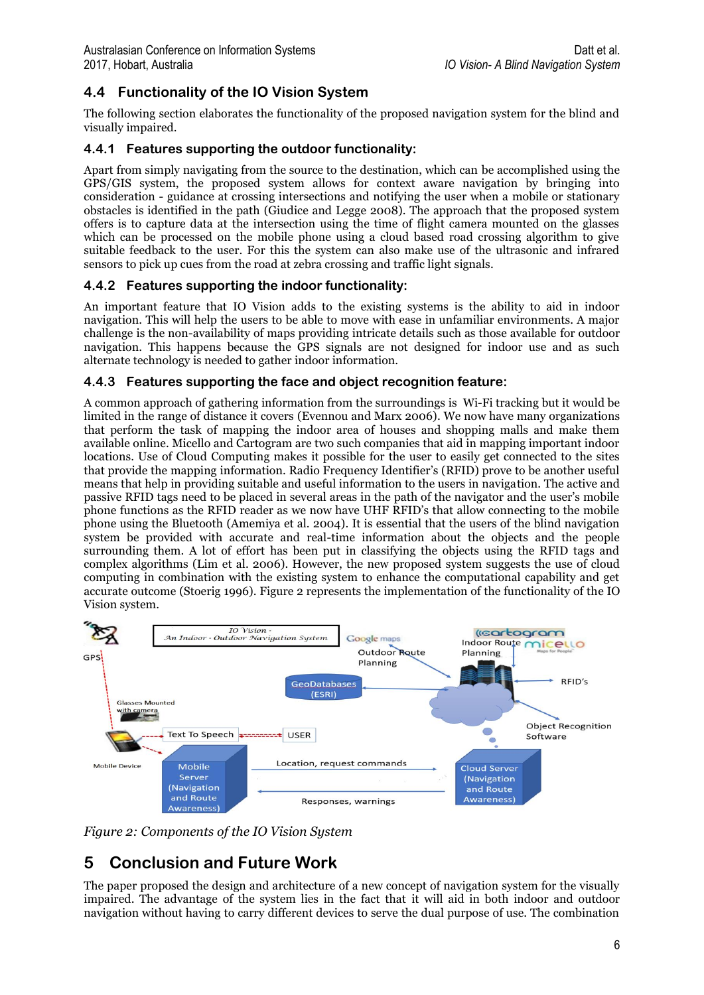## **4.4 Functionality of the IO Vision System**

The following section elaborates the functionality of the proposed navigation system for the blind and visually impaired.

### **4.4.1 Features supporting the outdoor functionality:**

Apart from simply navigating from the source to the destination, which can be accomplished using the GPS/GIS system, the proposed system allows for context aware navigation by bringing into consideration - guidance at crossing intersections and notifying the user when a mobile or stationary obstacles is identified in the path (Giudice and Legge 2008). The approach that the proposed system offers is to capture data at the intersection using the time of flight camera mounted on the glasses which can be processed on the mobile phone using a cloud based road crossing algorithm to give suitable feedback to the user. For this the system can also make use of the ultrasonic and infrared sensors to pick up cues from the road at zebra crossing and traffic light signals.

### **4.4.2 Features supporting the indoor functionality:**

An important feature that IO Vision adds to the existing systems is the ability to aid in indoor navigation. This will help the users to be able to move with ease in unfamiliar environments. A major challenge is the non-availability of maps providing intricate details such as those available for outdoor navigation. This happens because the GPS signals are not designed for indoor use and as such alternate technology is needed to gather indoor information.

#### **4.4.3 Features supporting the face and object recognition feature:**

A common approach of gathering information from the surroundings is Wi-Fi tracking but it would be limited in the range of distance it covers (Evennou and Marx 2006). We now have many organizations that perform the task of mapping the indoor area of houses and shopping malls and make them available online. Micello and Cartogram are two such companies that aid in mapping important indoor locations. Use of Cloud Computing makes it possible for the user to easily get connected to the sites that provide the mapping information. Radio Frequency Identifier's (RFID) prove to be another useful means that help in providing suitable and useful information to the users in navigation. The active and passive RFID tags need to be placed in several areas in the path of the navigator and the user's mobile phone functions as the RFID reader as we now have UHF RFID's that allow connecting to the mobile phone using the Bluetooth (Amemiya et al. 2004). It is essential that the users of the blind navigation system be provided with accurate and real-time information about the objects and the people surrounding them. A lot of effort has been put in classifying the objects using the RFID tags and complex algorithms (Lim et al. 2006). However, the new proposed system suggests the use of cloud computing in combination with the existing system to enhance the computational capability and get accurate outcome (Stoerig 1996). Figure 2 represents the implementation of the functionality of the IO Vision system.



*Figure 2: Components of the IO Vision System*

## **5 Conclusion and Future Work**

The paper proposed the design and architecture of a new concept of navigation system for the visually impaired. The advantage of the system lies in the fact that it will aid in both indoor and outdoor navigation without having to carry different devices to serve the dual purpose of use. The combination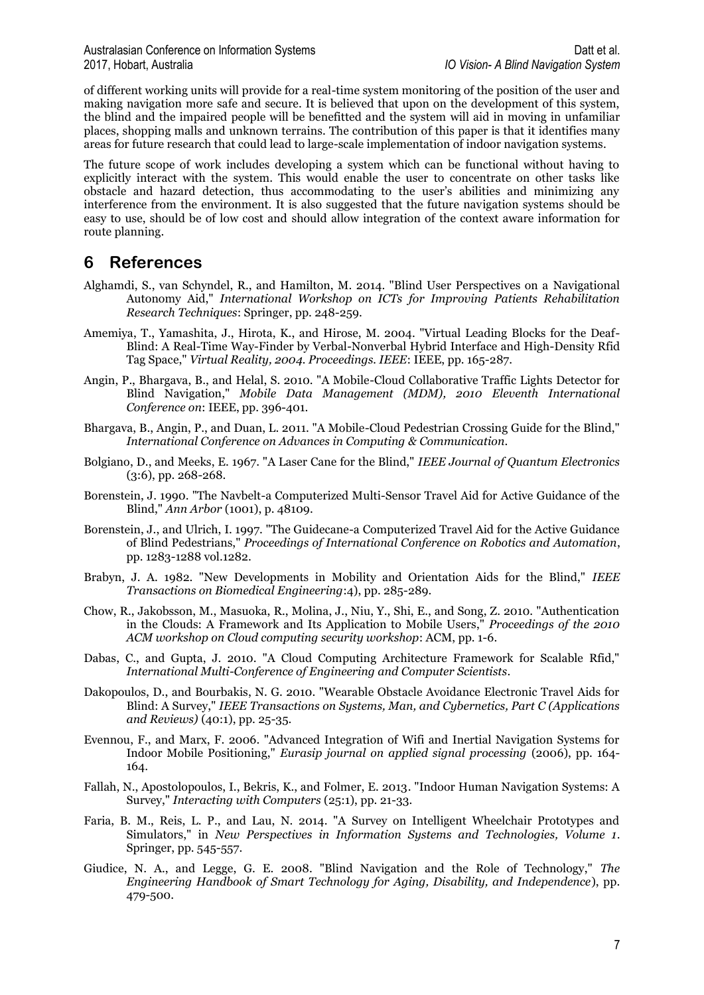of different working units will provide for a real-time system monitoring of the position of the user and making navigation more safe and secure. It is believed that upon on the development of this system, the blind and the impaired people will be benefitted and the system will aid in moving in unfamiliar places, shopping malls and unknown terrains. The contribution of this paper is that it identifies many areas for future research that could lead to large-scale implementation of indoor navigation systems.

The future scope of work includes developing a system which can be functional without having to explicitly interact with the system. This would enable the user to concentrate on other tasks like obstacle and hazard detection, thus accommodating to the user's abilities and minimizing any interference from the environment. It is also suggested that the future navigation systems should be easy to use, should be of low cost and should allow integration of the context aware information for route planning.

## **6 References**

- Alghamdi, S., van Schyndel, R., and Hamilton, M. 2014. "Blind User Perspectives on a Navigational Autonomy Aid," *International Workshop on ICTs for Improving Patients Rehabilitation Research Techniques*: Springer, pp. 248-259.
- Amemiya, T., Yamashita, J., Hirota, K., and Hirose, M. 2004. "Virtual Leading Blocks for the Deaf-Blind: A Real-Time Way-Finder by Verbal-Nonverbal Hybrid Interface and High-Density Rfid Tag Space," *Virtual Reality, 2004. Proceedings. IEEE*: IEEE, pp. 165-287.
- Angin, P., Bhargava, B., and Helal, S. 2010. "A Mobile-Cloud Collaborative Traffic Lights Detector for Blind Navigation," *Mobile Data Management (MDM), 2010 Eleventh International Conference on*: IEEE, pp. 396-401.
- Bhargava, B., Angin, P., and Duan, L. 2011. "A Mobile-Cloud Pedestrian Crossing Guide for the Blind," *International Conference on Advances in Computing & Communication*.
- Bolgiano, D., and Meeks, E. 1967. "A Laser Cane for the Blind," *IEEE Journal of Quantum Electronics* (3:6), pp. 268-268.
- Borenstein, J. 1990. "The Navbelt-a Computerized Multi-Sensor Travel Aid for Active Guidance of the Blind," *Ann Arbor* (1001), p. 48109.
- Borenstein, J., and Ulrich, I. 1997. "The Guidecane-a Computerized Travel Aid for the Active Guidance of Blind Pedestrians," *Proceedings of International Conference on Robotics and Automation*, pp. 1283-1288 vol.1282.
- Brabyn, J. A. 1982. "New Developments in Mobility and Orientation Aids for the Blind," *IEEE Transactions on Biomedical Engineering*:4), pp. 285-289.
- Chow, R., Jakobsson, M., Masuoka, R., Molina, J., Niu, Y., Shi, E., and Song, Z. 2010. "Authentication in the Clouds: A Framework and Its Application to Mobile Users," *Proceedings of the 2010 ACM workshop on Cloud computing security workshop*: ACM, pp. 1-6.
- Dabas, C., and Gupta, J. 2010. "A Cloud Computing Architecture Framework for Scalable Rfid," *International Multi-Conference of Engineering and Computer Scientists*.
- Dakopoulos, D., and Bourbakis, N. G. 2010. "Wearable Obstacle Avoidance Electronic Travel Aids for Blind: A Survey," *IEEE Transactions on Systems, Man, and Cybernetics, Part C (Applications and Reviews)* (40:1), pp. 25-35.
- Evennou, F., and Marx, F. 2006. "Advanced Integration of Wifi and Inertial Navigation Systems for Indoor Mobile Positioning," *Eurasip journal on applied signal processing* (2006), pp. 164- 164.
- Fallah, N., Apostolopoulos, I., Bekris, K., and Folmer, E. 2013. "Indoor Human Navigation Systems: A Survey," *Interacting with Computers* (25:1), pp. 21-33.
- Faria, B. M., Reis, L. P., and Lau, N. 2014. "A Survey on Intelligent Wheelchair Prototypes and Simulators," in *New Perspectives in Information Systems and Technologies, Volume 1*. Springer, pp. 545-557.
- Giudice, N. A., and Legge, G. E. 2008. "Blind Navigation and the Role of Technology," *The Engineering Handbook of Smart Technology for Aging, Disability, and Independence*), pp. 479-500.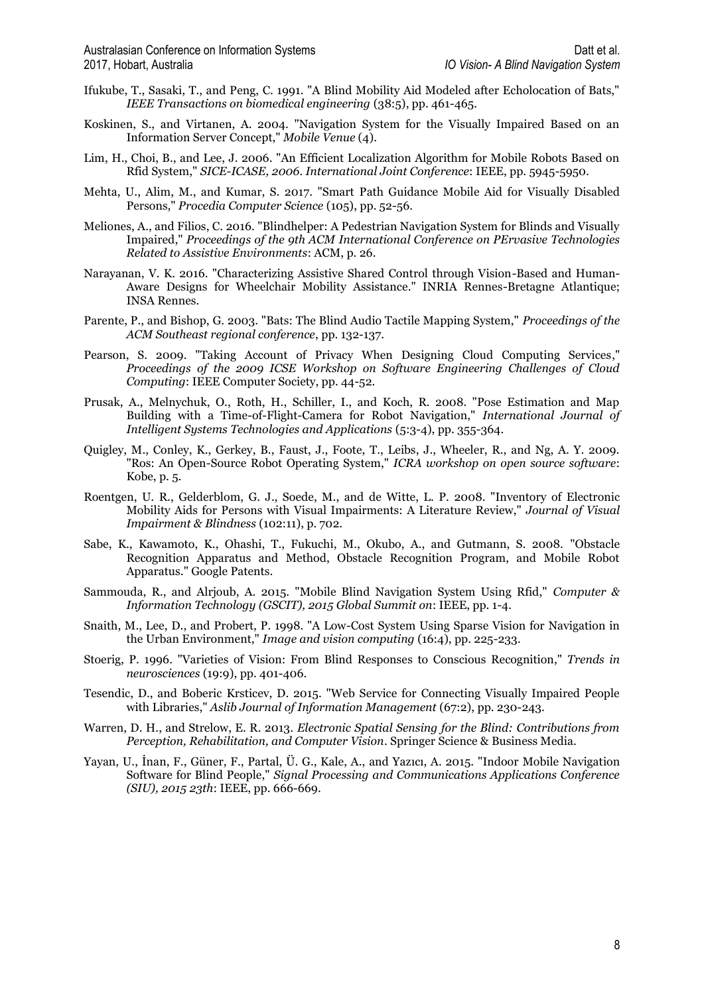- Ifukube, T., Sasaki, T., and Peng, C. 1991. "A Blind Mobility Aid Modeled after Echolocation of Bats," *IEEE Transactions on biomedical engineering* (38:5), pp. 461-465.
- Koskinen, S., and Virtanen, A. 2004. "Navigation System for the Visually Impaired Based on an Information Server Concept," *Mobile Venue* (4).
- Lim, H., Choi, B., and Lee, J. 2006. "An Efficient Localization Algorithm for Mobile Robots Based on Rfid System," *SICE-ICASE, 2006. International Joint Conference*: IEEE, pp. 5945-5950.
- Mehta, U., Alim, M., and Kumar, S. 2017. "Smart Path Guidance Mobile Aid for Visually Disabled Persons," *Procedia Computer Science* (105), pp. 52-56.
- Meliones, A., and Filios, C. 2016. "Blindhelper: A Pedestrian Navigation System for Blinds and Visually Impaired," *Proceedings of the 9th ACM International Conference on PErvasive Technologies Related to Assistive Environments*: ACM, p. 26.
- Narayanan, V. K. 2016. "Characterizing Assistive Shared Control through Vision-Based and Human-Aware Designs for Wheelchair Mobility Assistance." INRIA Rennes-Bretagne Atlantique; INSA Rennes.
- Parente, P., and Bishop, G. 2003. "Bats: The Blind Audio Tactile Mapping System," *Proceedings of the ACM Southeast regional conference*, pp. 132-137.
- Pearson, S. 2009. "Taking Account of Privacy When Designing Cloud Computing Services," *Proceedings of the 2009 ICSE Workshop on Software Engineering Challenges of Cloud Computing*: IEEE Computer Society, pp. 44-52.
- Prusak, A., Melnychuk, O., Roth, H., Schiller, I., and Koch, R. 2008. "Pose Estimation and Map Building with a Time-of-Flight-Camera for Robot Navigation," *International Journal of Intelligent Systems Technologies and Applications* (5:3-4), pp. 355-364.
- Quigley, M., Conley, K., Gerkey, B., Faust, J., Foote, T., Leibs, J., Wheeler, R., and Ng, A. Y. 2009. "Ros: An Open-Source Robot Operating System," *ICRA workshop on open source software*: Kobe, p. 5.
- Roentgen, U. R., Gelderblom, G. J., Soede, M., and de Witte, L. P. 2008. "Inventory of Electronic Mobility Aids for Persons with Visual Impairments: A Literature Review," *Journal of Visual Impairment & Blindness* (102:11), p. 702.
- Sabe, K., Kawamoto, K., Ohashi, T., Fukuchi, M., Okubo, A., and Gutmann, S. 2008. "Obstacle Recognition Apparatus and Method, Obstacle Recognition Program, and Mobile Robot Apparatus." Google Patents.
- Sammouda, R., and Alrjoub, A. 2015. "Mobile Blind Navigation System Using Rfid," *Computer & Information Technology (GSCIT), 2015 Global Summit on*: IEEE, pp. 1-4.
- Snaith, M., Lee, D., and Probert, P. 1998. "A Low-Cost System Using Sparse Vision for Navigation in the Urban Environment," *Image and vision computing* (16:4), pp. 225-233.
- Stoerig, P. 1996. "Varieties of Vision: From Blind Responses to Conscious Recognition," *Trends in neurosciences* (19:9), pp. 401-406.
- Tesendic, D., and Boberic Krsticev, D. 2015. "Web Service for Connecting Visually Impaired People with Libraries," *Aslib Journal of Information Management* (67:2), pp. 230-243.
- Warren, D. H., and Strelow, E. R. 2013. *Electronic Spatial Sensing for the Blind: Contributions from Perception, Rehabilitation, and Computer Vision*. Springer Science & Business Media.
- Yayan, U., İnan, F., Güner, F., Partal, Ü. G., Kale, A., and Yazıcı, A. 2015. "Indoor Mobile Navigation Software for Blind People," *Signal Processing and Communications Applications Conference (SIU), 2015 23th*: IEEE, pp. 666-669.